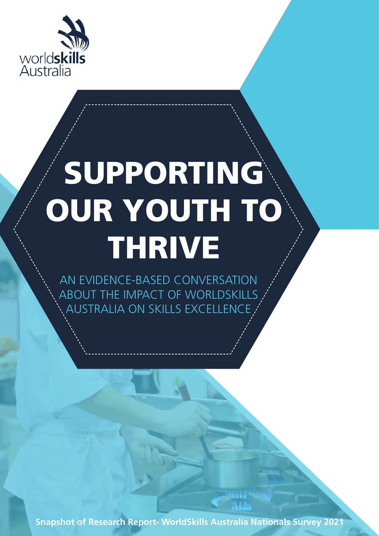

# SUPPORTING OUR YOUTH TO THRIVE

AN EVIDENCE-BASED CONVERSATION ABOUT THE IMPACT OF WORLDSKILLS AUSTRALIA ON SKILLS EXCELLENCE

Snapshot of Research Report- WorldSkills Australia Nationals Survey 2021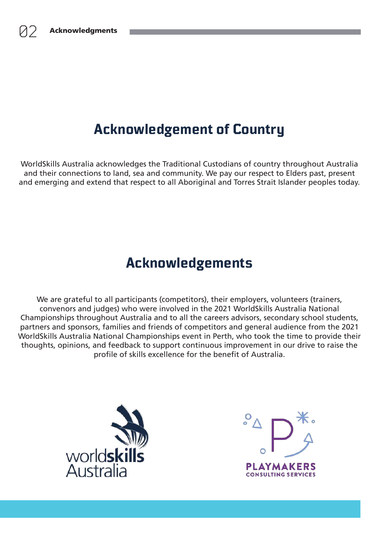### **Acknowledgement of Country**

WorldSkills Australia acknowledges the Traditional Custodians of country throughout Australia and their connections to land, sea and community. We pay our respect to Elders past, present and emerging and extend that respect to all Aboriginal and Torres Strait Islander peoples today.

### **Acknowledgements**

We are grateful to all participants (competitors), their employers, volunteers (trainers, convenors and judges) who were involved in the 2021 WorldSkills Australia National Championships throughout Australia and to all the careers advisors, secondary school students, partners and sponsors, families and friends of competitors and general audience from the 2021 WorldSkills Australia National Championships event in Perth, who took the time to provide their thoughts, opinions, and feedback to support continuous improvement in our drive to raise the profile of skills excellence for the benefit of Australia.



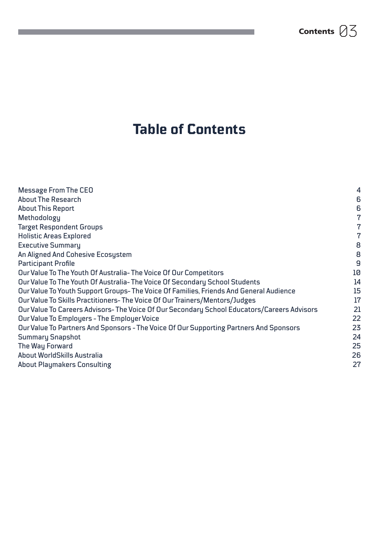### **Table of Contents**

| <b>Message From The CEO</b>                                                                | 4  |
|--------------------------------------------------------------------------------------------|----|
| <b>About The Research</b>                                                                  | 6  |
| <b>About This Report</b>                                                                   | 6  |
| Methodology                                                                                | 7  |
| <b>Target Respondent Groups</b>                                                            | 7  |
| <b>Holistic Areas Explored</b>                                                             | 7  |
| <b>Executive Summary</b>                                                                   | 8  |
| An Aligned And Cohesive Ecosystem                                                          | 8  |
| <b>Participant Profile</b>                                                                 | 9  |
| Our Value To The Youth Of Australia-The Voice Of Our Competitors                           | 10 |
| Our Value To The Youth Of Australia-The Voice Of Secondary School Students                 | 14 |
| Our Value To Youth Support Groups-The Voice Of Families, Friends And General Audience      | 15 |
| Our Value To Skills Practitioners-The Voice Of Our Trainers/Mentors/Judges                 | 17 |
| Our Value To Careers Advisors-The Voice Of Our Secondary School Educators/Careers Advisors | 21 |
| Our Value To Employers - The Employer Voice                                                | 22 |
| Our Value To Partners And Sponsors - The Voice Of Our Supporting Partners And Sponsors     | 23 |
| <b>Summary Snapshot</b>                                                                    | 24 |
| The Way Forward                                                                            | 25 |
| About WorldSkills Australia                                                                | 26 |
| <b>About Playmakers Consulting</b>                                                         | 27 |
|                                                                                            |    |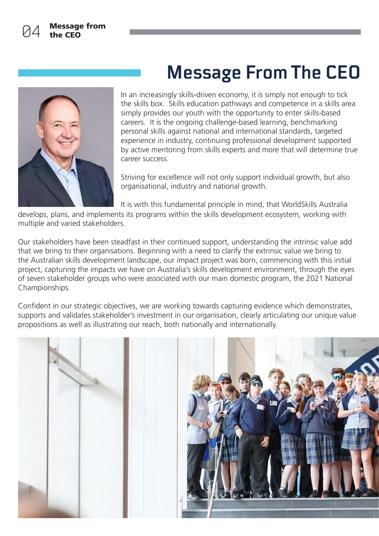

# **Message From The CEO**

In an increasingly skills-driven economy, it is simply not enough to tick the skills box. Skills education pathways and competence in a skills area simply provides our youth with the opportunity to enter skills-based careers. It is the ongoing challenge-based learning, benchmarking personal skills against national and international standards, targeted experience in industry, continuing professional development supported by active mentoring from skills experts and more that will determine true career success.

Striving for excellence will not only support individual growth, but also organisational, industry and national growth.

It is with this fundamental principle in mind, that WorldSkills Australia

develops, plans, and implements its programs within the skills development ecosystem, working with multiple and varied stakeholders.

Our stakeholders have been steadfast in their continued support, understanding the intrinsic value add that we bring to their organisations. Beginning with a need to clarify the extrinsic value we bring to the Australian skills development landscape, our impact project was born, commencing with this initial project, capturing the impacts we have on Australia's skills development environment, through the eyes of seven stakeholder groups who were associated with our main domestic program, the 2021 National Championships.

Confident in our strategic objectives, we are working towards capturing evidence which demonstrates, supports and validates stakeholder's investment in our organisation, clearly articulating our unique value propositions as well as illustrating our reach, both nationally and internationally.

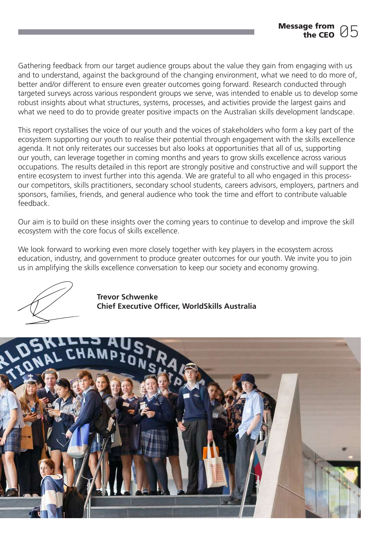Gathering feedback from our target audience groups about the value they gain from engaging with us and to understand, against the background of the changing environment, what we need to do more of, better and/or different to ensure even greater outcomes going forward. Research conducted through targeted surveys across various respondent groups we serve, was intended to enable us to develop some robust insights about what structures, systems, processes, and activities provide the largest gains and what we need to do to provide greater positive impacts on the Australian skills development landscape.

This report crystallises the voice of our youth and the voices of stakeholders who form a key part of the ecosystem supporting our youth to realise their potential through engagement with the skills excellence agenda. It not only reiterates our successes but also looks at opportunities that all of us, supporting our youth, can leverage together in coming months and years to grow skills excellence across various occupations. The results detailed in this report are strongly positive and constructive and will support the entire ecosystem to invest further into this agenda. We are grateful to all who engaged in this processour competitors, skills practitioners, secondary school students, careers advisors, employers, partners and sponsors, families, friends, and general audience who took the time and effort to contribute valuable feedback.

Our aim is to build on these insights over the coming years to continue to develop and improve the skill ecosystem with the core focus of skills excellence.

We look forward to working even more closely together with key players in the ecosystem across education, industry, and government to produce greater outcomes for our youth. We invite you to join us in amplifying the skills excellence conversation to keep our society and economy growing.

Trevor Schwenke Chief Executive Officer, WorldSkills Australia

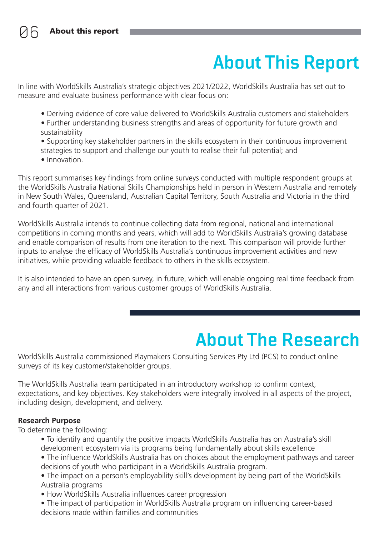# **About This Report**

In line with WorldSkills Australia's strategic objectives 2021/2022, WorldSkills Australia has set out to measure and evaluate business performance with clear focus on:

- Deriving evidence of core value delivered to WorldSkills Australia customers and stakeholders
- Further understanding business strengths and areas of opportunity for future growth and sustainability
- Supporting key stakeholder partners in the skills ecosystem in their continuous improvement strategies to support and challenge our youth to realise their full potential; and
- Innovation

This report summarises key findings from online surveys conducted with multiple respondent groups at the WorldSkills Australia National Skills Championships held in person in Western Australia and remotely in New South Wales, Queensland, Australian Capital Territory, South Australia and Victoria in the third and fourth quarter of 2021.

WorldSkills Australia intends to continue collecting data from regional, national and international competitions in coming months and years, which will add to WorldSkills Australia's growing database and enable comparison of results from one iteration to the next. This comparison will provide further inputs to analyse the efficacy of WorldSkills Australia's continuous improvement activities and new initiatives, while providing valuable feedback to others in the skills ecosystem.

It is also intended to have an open survey, in future, which will enable ongoing real time feedback from any and all interactions from various customer groups of WorldSkills Australia.

### **About The Research**

WorldSkills Australia commissioned Playmakers Consulting Services Pty Ltd (PCS) to conduct online surveys of its key customer/stakeholder groups.

The WorldSkills Australia team participated in an introductory workshop to confirm context, expectations, and key objectives. Key stakeholders were integrally involved in all aspects of the project, including design, development, and delivery.

#### Research Purpose

To determine the following:

- To identify and quantify the positive impacts WorldSkills Australia has on Australia's skill development ecosystem via its programs being fundamentally about skills excellence
- The influence WorldSkills Australia has on choices about the employment pathways and career decisions of youth who participant in a WorldSkills Australia program.
- The impact on a person's employability skill's development by being part of the WorldSkills Australia programs
- How WorldSkills Australia influences career progression
- The impact of participation in WorldSkills Australia program on influencing career-based decisions made within families and communities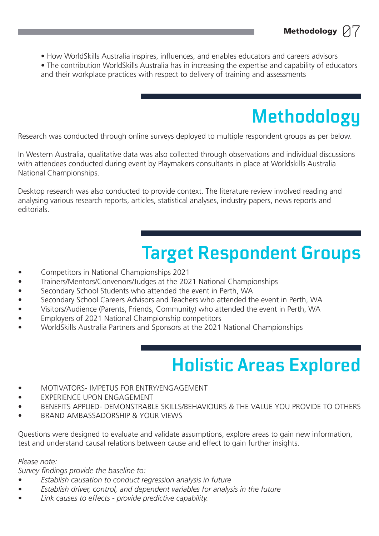- How WorldSkills Australia inspires, influences, and enables educators and careers advisors
- The contribution WorldSkills Australia has in increasing the expertise and capability of educators and their workplace practices with respect to delivery of training and assessments

# **Methodology**

Methodology  $\oslash 7$ 

Research was conducted through online surveys deployed to multiple respondent groups as per below.

In Western Australia, qualitative data was also collected through observations and individual discussions with attendees conducted during event by Playmakers consultants in place at Worldskills Australia National Championships.

Desktop research was also conducted to provide context. The literature review involved reading and analysing various research reports, articles, statistical analyses, industry papers, news reports and editorials.

# **Target Respondent Groups**

- Competitors in National Championships 2021
- Trainers/Mentors/Convenors/Judges at the 2021 National Championships
- Secondary School Students who attended the event in Perth, WA
- Secondary School Careers Advisors and Teachers who attended the event in Perth, WA
- Visitors/Audience (Parents, Friends, Community) who attended the event in Perth, WA
- Employers of 2021 National Championship competitors
- WorldSkills Australia Partners and Sponsors at the 2021 National Championships

# **Holistic Areas Explored**

- MOTIVATORS- IMPETUS FOR ENTRY/ENGAGEMENT
- **EXPERIENCE UPON ENGAGEMENT**
- BENEFITS APPLIED- DEMONSTRABLE SKILLS/BEHAVIOURS & THE VALUE YOU PROVIDE TO OTHERS
- BRAND AMBASSADORSHIP & YOUR VIEWS

Questions were designed to evaluate and validate assumptions, explore areas to gain new information, test and understand causal relations between cause and effect to gain further insights.

Please note:

Survey findings provide the baseline to:

- Establish causation to conduct regression analysis in future
- Establish driver, control, and dependent variables for analysis in the future
- Link causes to effects provide predictive capability.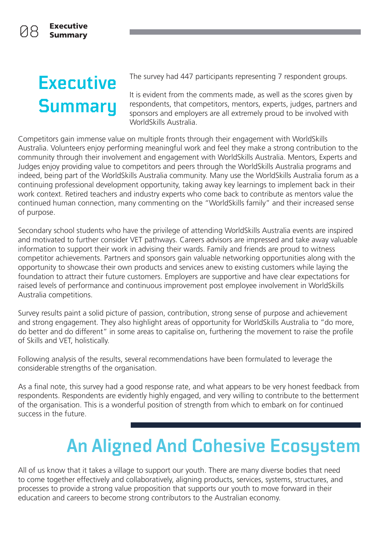# **Executive Summary**

The survey had 447 participants representing 7 respondent groups.

It is evident from the comments made, as well as the scores given by respondents, that competitors, mentors, experts, judges, partners and sponsors and employers are all extremely proud to be involved with WorldSkills Australia.

Competitors gain immense value on multiple fronts through their engagement with WorldSkills Australia. Volunteers enjoy performing meaningful work and feel they make a strong contribution to the community through their involvement and engagement with WorldSkills Australia. Mentors, Experts and Judges enjoy providing value to competitors and peers through the WorldSkills Australia programs and indeed, being part of the WorldSkills Australia community. Many use the WorldSkills Australia forum as a continuing professional development opportunity, taking away key learnings to implement back in their work context. Retired teachers and industry experts who come back to contribute as mentors value the continued human connection, many commenting on the "WorldSkills family" and their increased sense of purpose.

Secondary school students who have the privilege of attending WorldSkills Australia events are inspired and motivated to further consider VET pathways. Careers advisors are impressed and take away valuable information to support their work in advising their wards. Family and friends are proud to witness competitor achievements. Partners and sponsors gain valuable networking opportunities along with the opportunity to showcase their own products and services anew to existing customers while laying the foundation to attract their future customers. Employers are supportive and have clear expectations for raised levels of performance and continuous improvement post employee involvement in WorldSkills Australia competitions.

Survey results paint a solid picture of passion, contribution, strong sense of purpose and achievement and strong engagement. They also highlight areas of opportunity for WorldSkills Australia to "do more, do better and do different" in some areas to capitalise on, furthering the movement to raise the profile of Skills and VET, holistically.

Following analysis of the results, several recommendations have been formulated to leverage the considerable strengths of the organisation.

As a final note, this survey had a good response rate, and what appears to be very honest feedback from respondents. Respondents are evidently highly engaged, and very willing to contribute to the betterment of the organisation. This is a wonderful position of strength from which to embark on for continued success in the future.

# **An Aligned And Cohesive Ecosystem**

All of us know that it takes a village to support our youth. There are many diverse bodies that need to come together effectively and collaboratively, aligning products, services, systems, structures, and processes to provide a strong value proposition that supports our youth to move forward in their education and careers to become strong contributors to the Australian economy.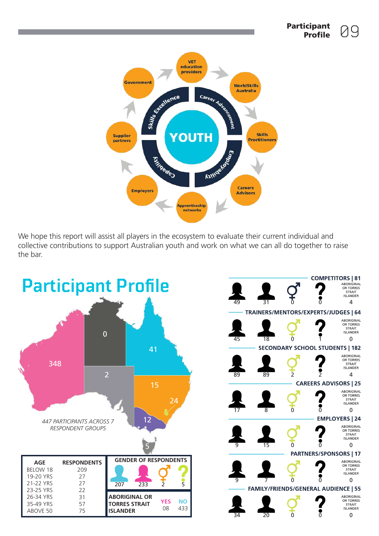

We hope this report will assist all players in the ecosystem to evaluate their current individual and collective contributions to support Australian youth and work on what we can all do together to raise the bar.



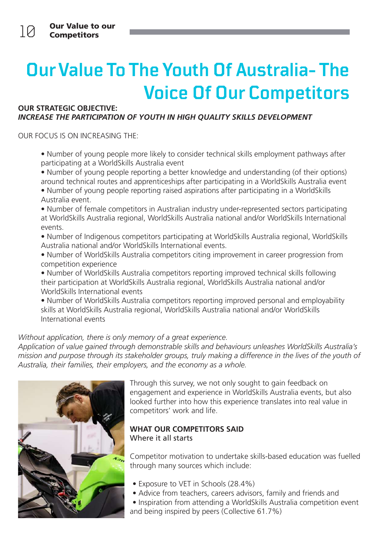# **Our Value To The Youth Of Australia- The Voice Of Our Competitors**

#### OUR STRATEGIC OBJECTIVE: INCREASE THE PARTICIPATION OF YOUTH IN HIGH QUALITY SKILLS DEVELOPMENT

OUR FOCUS IS ON INCREASING THE:

• Number of young people more likely to consider technical skills employment pathways after participating at a WorldSkills Australia event

• Number of young people reporting a better knowledge and understanding (of their options) around technical routes and apprenticeships after participating in a WorldSkills Australia event

- Number of young people reporting raised aspirations after participating in a WorldSkills Australia event.
- Number of female competitors in Australian industry under-represented sectors participating at WorldSkills Australia regional, WorldSkills Australia national and/or WorldSkills International events.
- Number of Indigenous competitors participating at WorldSkills Australia regional, WorldSkills Australia national and/or WorldSkills International events.
- Number of WorldSkills Australia competitors citing improvement in career progression from competition experience
- Number of WorldSkills Australia competitors reporting improved technical skills following their participation at WorldSkills Australia regional, WorldSkills Australia national and/or WorldSkills International events
- Number of WorldSkills Australia competitors reporting improved personal and employability skills at WorldSkills Australia regional, WorldSkills Australia national and/or WorldSkills International events

#### Without application, there is only memory of a great experience.

Application of value gained through demonstrable skills and behaviours unleashes WorldSkills Australia's mission and purpose through its stakeholder groups, truly making a difference in the lives of the youth of Australia, their families, their employers, and the economy as a whole.



Through this survey, we not only sought to gain feedback on engagement and experience in WorldSkills Australia events, but also looked further into how this experience translates into real value in competitors' work and life.

#### WHAT OUR COMPETITORS SAID Where it all starts

Competitor motivation to undertake skills-based education was fuelled through many sources which include:

- Exposure to VET in Schools (28.4%)
- Advice from teachers, careers advisors, family and friends and
- Inspiration from attending a WorldSkills Australia competition event and being inspired by peers (Collective 61.7%)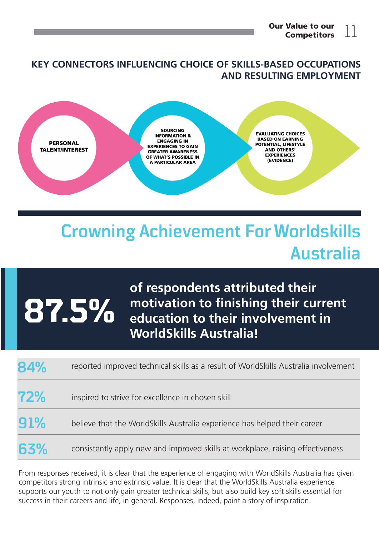#### KEY CONNECTORS INFLUENCING CHOICE OF SKILLS-BASED OCCUPATIONS AND RESULTING EMPLOYMENT



### **Crowning Achievement For Worldskills Australia**

# **87.5%**

of respondents attributed their motivation to finishing their current education to their involvement in WorldSkills Australia!

| 84% | reported improved technical skills as a result of WorldSkills Australia involvement |
|-----|-------------------------------------------------------------------------------------|
| 72% | inspired to strive for excellence in chosen skill                                   |
| 91% | believe that the WorldSkills Australia experience has helped their career           |
| 63% | consistently apply new and improved skills at workplace, raising effectiveness      |

From responses received, it is clear that the experience of engaging with WorldSkills Australia has given competitors strong intrinsic and extrinsic value. It is clear that the WorldSkills Australia experience supports our youth to not only gain greater technical skills, but also build key soft skills essential for success in their careers and life, in general. Responses, indeed, paint a story of inspiration.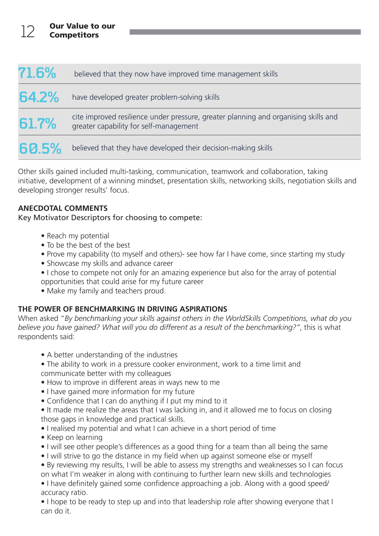| 71.6% | believed that they now have improved time management skills                                                                   |
|-------|-------------------------------------------------------------------------------------------------------------------------------|
| 64.2% | have developed greater problem-solving skills                                                                                 |
| 61.7% | cite improved resilience under pressure, greater planning and organising skills and<br>greater capability for self-management |
| 60.5% | believed that they have developed their decision-making skills                                                                |

Other skills gained included multi-tasking, communication, teamwork and collaboration, taking initiative, development of a winning mindset, presentation skills, networking skills, negotiation skills and developing stronger results' focus.

#### ANECDOTAL COMMENTS

Key Motivator Descriptors for choosing to compete:

- Reach my potential
- To be the best of the best
- Prove my capability (to myself and others)- see how far I have come, since starting my study
- Showcase my skills and advance career
- I chose to compete not only for an amazing experience but also for the array of potential opportunities that could arise for my future career
- Make my family and teachers proud.

#### THE POWER OF BENCHMARKING IN DRIVING ASPIRATIONS

When asked "By benchmarking your skills against others in the WorldSkills Competitions, what do you believe you have gained? What will you do different as a result of the benchmarking?", this is what respondents said:

- A better understanding of the industries
- The ability to work in a pressure cooker environment, work to a time limit and communicate better with my colleagues
- How to improve in different areas in ways new to me
- I have gained more information for my future
- Confidence that I can do anything if I put my mind to it
- It made me realize the areas that I was lacking in, and it allowed me to focus on closing those gaps in knowledge and practical skills.
- I realised my potential and what I can achieve in a short period of time
- Keep on learning
- I will see other people's differences as a good thing for a team than all being the same
- I will strive to go the distance in my field when up against someone else or myself
- By reviewing my results, I will be able to assess my strengths and weaknesses so I can focus on what I'm weaker in along with continuing to further learn new skills and technologies
- I have definitely gained some confidence approaching a job. Along with a good speed/ accuracy ratio.

• I hope to be ready to step up and into that leadership role after showing everyone that I can do it.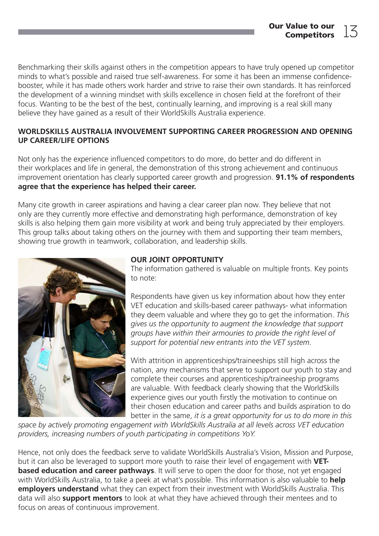Benchmarking their skills against others in the competition appears to have truly opened up competitor minds to what's possible and raised true self-awareness. For some it has been an immense confidencebooster, while it has made others work harder and strive to raise their own standards. It has reinforced the development of a winning mindset with skills excellence in chosen field at the forefront of their focus. Wanting to be the best of the best, continually learning, and improving is a real skill many believe they have gained as a result of their WorldSkills Australia experience.

#### WORLDSKILLS AUSTRALIA INVOLVEMENT SUPPORTING CAREER PROGRESSION AND OPENING UP CAREER/LIFE OPTIONS

Not only has the experience influenced competitors to do more, do better and do different in their workplaces and life in general, the demonstration of this strong achievement and continuous improvement orientation has clearly supported career growth and progression. **91.1% of respondents** agree that the experience has helped their career.

Many cite growth in career aspirations and having a clear career plan now. They believe that not only are they currently more effective and demonstrating high performance, demonstration of key skills is also helping them gain more visibility at work and being truly appreciated by their employers. This group talks about taking others on the journey with them and supporting their team members, showing true growth in teamwork, collaboration, and leadership skills.



#### OUR JOINT OPPORTUNITY

The information gathered is valuable on multiple fronts. Key points to note:

Respondents have given us key information about how they enter VET education and skills-based career pathways- what information they deem valuable and where they go to get the information. This gives us the opportunity to augment the knowledge that support groups have within their armouries to provide the right level of support for potential new entrants into the VET system.

With attrition in apprenticeships/traineeships still high across the nation, any mechanisms that serve to support our youth to stay and complete their courses and apprenticeship/traineeship programs are valuable. With feedback clearly showing that the WorldSkills experience gives our youth firstly the motivation to continue on their chosen education and career paths and builds aspiration to do better in the same, it is a great opportunity for us to do more in this

space by actively promoting engagement with WorldSkills Australia at all levels across VET education providers, increasing numbers of youth participating in competitions YoY.

Hence, not only does the feedback serve to validate WorldSkills Australia's Vision, Mission and Purpose, but it can also be leveraged to support more youth to raise their level of engagement with VET**based education and career pathways**. It will serve to open the door for those, not yet engaged with WorldSkills Australia, to take a peek at what's possible. This information is also valuable to **help** employers understand what they can expect from their investment with WorldSkills Australia. This data will also **support mentors** to look at what they have achieved through their mentees and to focus on areas of continuous improvement.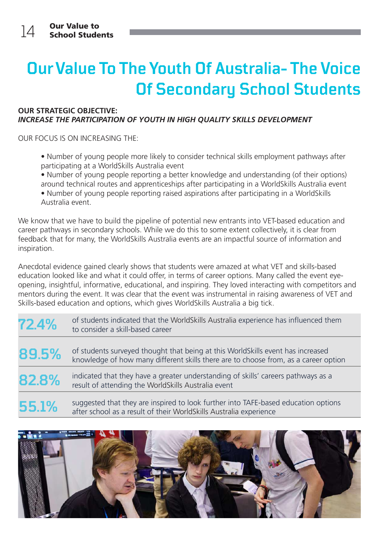### **Our Value To The Youth Of Australia- The Voice Of Secondary School Students**

#### OUR STRATEGIC OBJECTIVE: INCREASE THE PARTICIPATION OF YOUTH IN HIGH QUALITY SKILLS DEVELOPMENT

OUR FOCUS IS ON INCREASING THE:

• Number of young people more likely to consider technical skills employment pathways after participating at a WorldSkills Australia event

• Number of young people reporting a better knowledge and understanding (of their options) around technical routes and apprenticeships after participating in a WorldSkills Australia event • Number of young people reporting raised aspirations after participating in a WorldSkills Australia event.

We know that we have to build the pipeline of potential new entrants into VET-based education and career pathways in secondary schools. While we do this to some extent collectively, it is clear from feedback that for many, the WorldSkills Australia events are an impactful source of information and inspiration.

Anecdotal evidence gained clearly shows that students were amazed at what VET and skills-based education looked like and what it could offer, in terms of career options. Many called the event eyeopening, insightful, informative, educational, and inspiring. They loved interacting with competitors and mentors during the event. It was clear that the event was instrumental in raising awareness of VET and Skills-based education and options, which gives WorldSkills Australia a big tick.

| 72.4% | of students indicated that the WorldSkills Australia experience has influenced them<br>to consider a skill-based career                                                |
|-------|------------------------------------------------------------------------------------------------------------------------------------------------------------------------|
| 89.5% | of students surveyed thought that being at this WorldSkills event has increased<br>knowledge of how many different skills there are to choose from, as a career option |
| 82.8% | indicated that they have a greater understanding of skills' careers pathways as a<br>result of attending the WorldSkills Australia event                               |
| 55.1% | suggested that they are inspired to look further into TAFE-based education options<br>after school as a result of their WorldSkills Australia experience               |

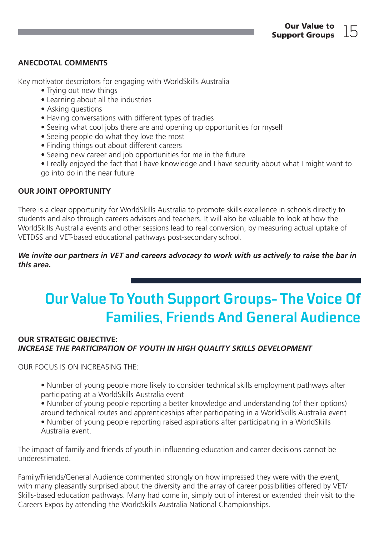#### ANECDOTAL COMMENTS

Key motivator descriptors for engaging with WorldSkills Australia

- Trying out new things
- Learning about all the industries
- Asking questions
- Having conversations with different types of tradies
- Seeing what cool jobs there are and opening up opportunities for myself
- Seeing people do what they love the most
- Finding things out about different careers
- Seeing new career and job opportunities for me in the future
- I really enjoyed the fact that I have knowledge and I have security about what I might want to go into do in the near future

#### OUR JOINT OPPORTUNITY

There is a clear opportunity for WorldSkills Australia to promote skills excellence in schools directly to students and also through careers advisors and teachers. It will also be valuable to look at how the WorldSkills Australia events and other sessions lead to real conversion, by measuring actual uptake of VETDSS and VET-based educational pathways post-secondary school.

#### We invite our partners in VET and careers advocacy to work with us actively to raise the bar in this area.

### **Our Value To Youth Support Groups- The Voice Of Families, Friends And General Audience**

#### OUR STRATEGIC OBJECTIVE: INCREASE THE PARTICIPATION OF YOUTH IN HIGH QUALITY SKILLS DEVELOPMENT

OUR FOCUS IS ON INCREASING THE:

• Number of young people more likely to consider technical skills employment pathways after participating at a WorldSkills Australia event

• Number of young people reporting a better knowledge and understanding (of their options) around technical routes and apprenticeships after participating in a WorldSkills Australia event • Number of young people reporting raised aspirations after participating in a WorldSkills Australia event.

The impact of family and friends of youth in influencing education and career decisions cannot be underestimated.

Family/Friends/General Audience commented strongly on how impressed they were with the event, with many pleasantly surprised about the diversity and the array of career possibilities offered by VET/ Skills-based education pathways. Many had come in, simply out of interest or extended their visit to the Careers Expos by attending the WorldSkills Australia National Championships.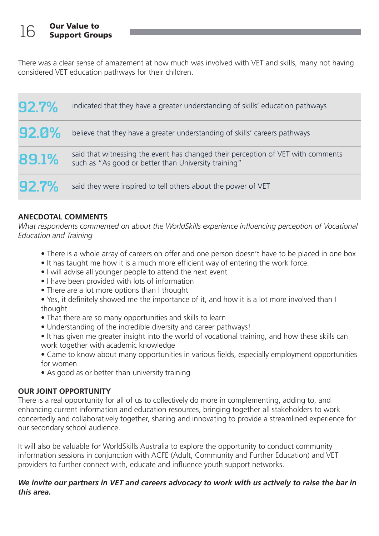There was a clear sense of amazement at how much was involved with VET and skills, many not having considered VET education pathways for their children.

| 92.7% | indicated that they have a greater understanding of skills' education pathways                                                           |
|-------|------------------------------------------------------------------------------------------------------------------------------------------|
| 92.0% | believe that they have a greater understanding of skills' careers pathways                                                               |
| 89.1% | said that witnessing the event has changed their perception of VET with comments<br>such as "As good or better than University training" |
| 92.7% | said they were inspired to tell others about the power of VET                                                                            |

#### ANECDOTAL COMMENTS

What respondents commented on about the WorldSkills experience influencing perception of Vocational Education and Training

- There is a whole array of careers on offer and one person doesn't have to be placed in one box
- It has taught me how it is a much more efficient way of entering the work force.
- I will advise all younger people to attend the next event
- I have been provided with lots of information
- There are a lot more options than I thought
- Yes, it definitely showed me the importance of it, and how it is a lot more involved than I thought
- That there are so many opportunities and skills to learn
- Understanding of the incredible diversity and career pathways!
- It has given me greater insight into the world of vocational training, and how these skills can work together with academic knowledge
- Came to know about many opportunities in various fields, especially employment opportunities for women
- As good as or better than university training

#### OUR JOINT OPPORTUNITY

There is a real opportunity for all of us to collectively do more in complementing, adding to, and enhancing current information and education resources, bringing together all stakeholders to work concertedly and collaboratively together, sharing and innovating to provide a streamlined experience for our secondary school audience.

It will also be valuable for WorldSkills Australia to explore the opportunity to conduct community information sessions in conjunction with ACFE (Adult, Community and Further Education) and VET providers to further connect with, educate and influence youth support networks.

#### We invite our partners in VET and careers advocacy to work with us actively to raise the bar in this area.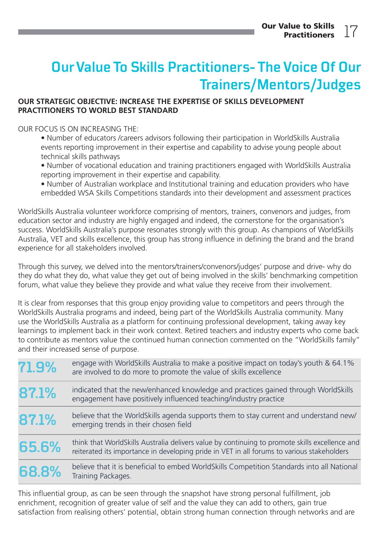### **Our Value To Skills Practitioners- The Voice Of Our Trainers/Mentors/Judges**

#### OUR STRATEGIC OBJECTIVE: INCREASE THE EXPERTISE OF SKILLS DEVELOPMENT PRACTITIONERS TO WORLD BEST STANDARD

#### OUR FOCUS IS ON INCREASING THE:

• Number of educators /careers advisors following their participation in WorldSkills Australia events reporting improvement in their expertise and capability to advise young people about technical skills pathways

• Number of vocational education and training practitioners engaged with WorldSkills Australia reporting improvement in their expertise and capability.

• Number of Australian workplace and Institutional training and education providers who have embedded WSA Skills Competitions standards into their development and assessment practices

WorldSkills Australia volunteer workforce comprising of mentors, trainers, convenors and judges, from education sector and industry are highly engaged and indeed, the cornerstone for the organisation's success. WorldSkills Australia's purpose resonates strongly with this group. As champions of WorldSkills Australia, VET and skills excellence, this group has strong influence in defining the brand and the brand experience for all stakeholders involved.

Through this survey, we delved into the mentors/trainers/convenors/judges' purpose and drive- why do they do what they do, what value they get out of being involved in the skills' benchmarking competition forum, what value they believe they provide and what value they receive from their involvement.

It is clear from responses that this group enjoy providing value to competitors and peers through the WorldSkills Australia programs and indeed, being part of the WorldSkills Australia community. Many use the WorldSkills Australia as a platform for continuing professional development, taking away key learnings to implement back in their work context. Retired teachers and industry experts who come back to contribute as mentors value the continued human connection commented on the "WorldSkills family" and their increased sense of purpose.

| 71.9% | engage with WorldSkills Australia to make a positive impact on today's youth & 64.1%<br>are involved to do more to promote the value of skills excellence                                    |
|-------|----------------------------------------------------------------------------------------------------------------------------------------------------------------------------------------------|
| 87.1% | indicated that the new/enhanced knowledge and practices gained through WorldSkills<br>engagement have positively influenced teaching/industry practice                                       |
| 87.1% | believe that the WorldSkills agenda supports them to stay current and understand new/<br>emerging trends in their chosen field                                                               |
| 65.6% | think that WorldSkills Australia delivers value by continuing to promote skills excellence and<br>reiterated its importance in developing pride in VET in all forums to various stakeholders |
| 68.8% | believe that it is beneficial to embed WorldSkills Competition Standards into all National<br>Training Packages.                                                                             |

This influential group, as can be seen through the snapshot have strong personal fulfillment, job enrichment, recognition of greater value of self and the value they can add to others, gain true satisfaction from realising others' potential, obtain strong human connection through networks and are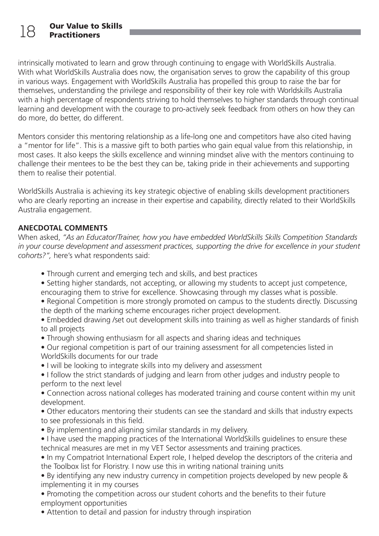intrinsically motivated to learn and grow through continuing to engage with WorldSkills Australia. With what WorldSkills Australia does now, the organisation serves to grow the capability of this group in various ways. Engagement with WorldSkills Australia has propelled this group to raise the bar for themselves, understanding the privilege and responsibility of their key role with Worldskills Australia with a high percentage of respondents striving to hold themselves to higher standards through continual learning and development with the courage to pro-actively seek feedback from others on how they can do more, do better, do different.

Mentors consider this mentoring relationship as a life-long one and competitors have also cited having a "mentor for life". This is a massive gift to both parties who gain equal value from this relationship, in most cases. It also keeps the skills excellence and winning mindset alive with the mentors continuing to challenge their mentees to be the best they can be, taking pride in their achievements and supporting them to realise their potential.

WorldSkills Australia is achieving its key strategic objective of enabling skills development practitioners who are clearly reporting an increase in their expertise and capability, directly related to their WorldSkills Australia engagement.

#### ANECDOTAL COMMENTS

When asked, "As an Educator/Trainer, how you have embedded WorldSkills Skills Competition Standards in your course development and assessment practices, supporting the drive for excellence in your student cohorts?", here's what respondents said:

- Through current and emerging tech and skills, and best practices
- Setting higher standards, not accepting, or allowing my students to accept just competence, encouraging them to strive for excellence. Showcasing through my classes what is possible.
- Regional Competition is more strongly promoted on campus to the students directly. Discussing the depth of the marking scheme encourages richer project development.
- Embedded drawing /set out development skills into training as well as higher standards of finish to all projects
- Through showing enthusiasm for all aspects and sharing ideas and techniques
- Our regional competition is part of our training assessment for all competencies listed in WorldSkills documents for our trade
- I will be looking to integrate skills into my delivery and assessment
- I follow the strict standards of judging and learn from other judges and industry people to perform to the next level
- Connection across national colleges has moderated training and course content within my unit development.
- Other educators mentoring their students can see the standard and skills that industry expects to see professionals in this field.
- By implementing and aligning similar standards in my delivery.
- I have used the mapping practices of the International WorldSkills guidelines to ensure these technical measures are met in my VET Sector assessments and training practices.
- In my Compatriot International Expert role, I helped develop the descriptors of the criteria and the Toolbox list for Floristry. I now use this in writing national training units

• By identifying any new industry currency in competition projects developed by new people & implementing it in my courses

• Promoting the competition across our student cohorts and the benefits to their future employment opportunities

• Attention to detail and passion for industry through inspiration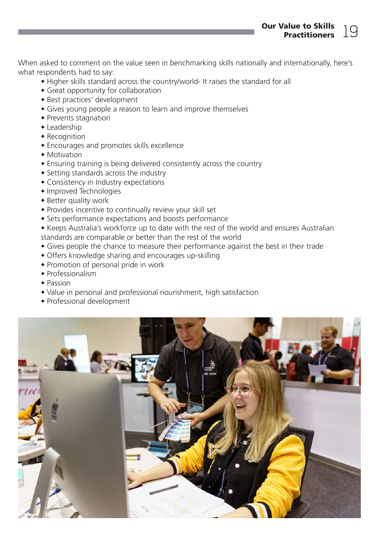Our Value to Skills alue to SKIIIS<br>Practitioners  $19$ 

When asked to comment on the value seen in benchmarking skills nationally and internationally, here's what respondents had to say:

- Higher skills standard across the country/world- It raises the standard for all
- Great opportunity for collaboration
- Best practices' development
- Gives young people a reason to learn and improve themselves
- Prevents stagnation
- Leadership
- Recognition
- Encourages and promotes skills excellence
- Motivation
- Ensuring training is being delivered consistently across the country
- Setting standards across the industry
- Consistency in Industry expectations
- Improved Technologies
- Better quality work
- Provides incentive to continually review your skill set
- Sets performance expectations and boosts performance
- Keeps Australia's workforce up to date with the rest of the world and ensures Australian standards are comparable or better than the rest of the world
- Gives people the chance to measure their performance against the best in their trade
- Offers knowledge sharing and encourages up-skilling
- Promotion of personal pride in work
- Professionalism
- Passion
- Value in personal and professional nourishment, high satisfaction
- Professional development

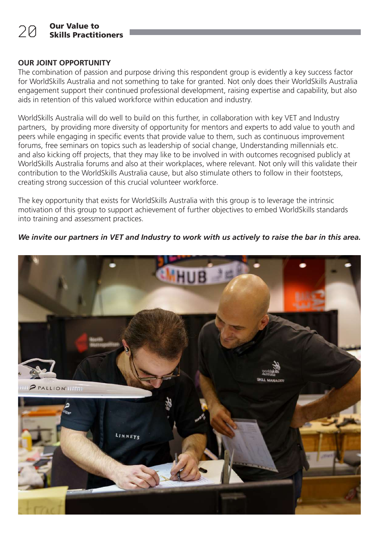#### OUR JOINT OPPORTUNITY

The combination of passion and purpose driving this respondent group is evidently a key success factor for WorldSkills Australia and not something to take for granted. Not only does their WorldSkills Australia engagement support their continued professional development, raising expertise and capability, but also aids in retention of this valued workforce within education and industry.

WorldSkills Australia will do well to build on this further, in collaboration with key VET and Industry partners, by providing more diversity of opportunity for mentors and experts to add value to youth and peers while engaging in specific events that provide value to them, such as continuous improvement forums, free seminars on topics such as leadership of social change, Understanding millennials etc. and also kicking off projects, that they may like to be involved in with outcomes recognised publicly at WorldSkills Australia forums and also at their workplaces, where relevant. Not only will this validate their contribution to the WorldSkills Australia cause, but also stimulate others to follow in their footsteps, creating strong succession of this crucial volunteer workforce.

The key opportunity that exists for WorldSkills Australia with this group is to leverage the intrinsic motivation of this group to support achievement of further objectives to embed WorldSkills standards into training and assessment practices.

#### We invite our partners in VET and Industry to work with us actively to raise the bar in this area.

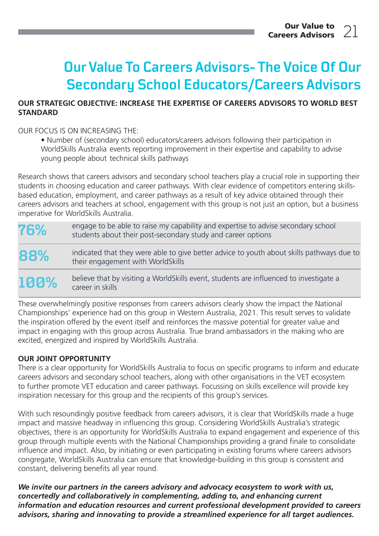### **Our Value To Careers Advisors- The Voice Of Our Secondary School Educators/Careers Advisors**

#### OUR STRATEGIC OBJECTIVE: INCREASE THE EXPERTISE OF CAREERS ADVISORS TO WORLD BEST STANDARD

#### OUR FOCUS IS ON INCREASING THE:

• Number of (secondary school) educators/careers advisors following their participation in WorldSkills Australia events reporting improvement in their expertise and capability to advise young people about technical skills pathways

Research shows that careers advisors and secondary school teachers play a crucial role in supporting their students in choosing education and career pathways. With clear evidence of competitors entering skillsbased education, employment, and career pathways as a result of key advice obtained through their careers advisors and teachers at school, engagement with this group is not just an option, but a business imperative for WorldSkills Australia.

**76%** engage to be able to raise my capability and expertise to advise secondary school students about their post-secondary study and career options indicated that they were able to give better advice to youth about skills pathways due to

their engagement with WorldSkills **88%**

believe that by visiting a WorldSkills event, students are influenced to investigate a career in skills **100%**

These overwhelmingly positive responses from careers advisors clearly show the impact the National Championships' experience had on this group in Western Australia, 2021. This result serves to validate the inspiration offered by the event itself and reinforces the massive potential for greater value and impact in engaging with this group across Australia. True brand ambassadors in the making who are excited, energized and inspired by WorldSkills Australia.

#### OUR JOINT OPPORTUNITY

There is a clear opportunity for WorldSkills Australia to focus on specific programs to inform and educate careers advisors and secondary school teachers, along with other organisations in the VET ecosystem to further promote VET education and career pathways. Focussing on skills excellence will provide key inspiration necessary for this group and the recipients of this group's services.

With such resoundingly positive feedback from careers advisors, it is clear that WorldSkills made a huge impact and massive headway in influencing this group. Considering WorldSkills Australia's strategic objectives, there is an opportunity for WorldSkills Australia to expand engagement and experience of this group through multiple events with the National Championships providing a grand finale to consolidate influence and impact. Also, by initiating or even participating in existing forums where careers advisors congregate, WorldSkills Australia can ensure that knowledge-building in this group is consistent and constant, delivering benefits all year round.

We invite our partners in the careers advisory and advocacy ecosystem to work with us, concertedly and collaboratively in complementing, adding to, and enhancing current information and education resources and current professional development provided to careers advisors, sharing and innovating to provide a streamlined experience for all target audiences.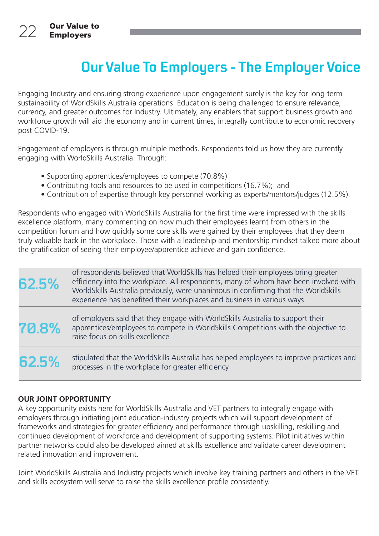### **Our Value To Employers - The Employer Voice**

Engaging Industry and ensuring strong experience upon engagement surely is the key for long-term sustainability of WorldSkills Australia operations. Education is being challenged to ensure relevance, currency, and greater outcomes for Industry. Ultimately, any enablers that support business growth and workforce growth will aid the economy and in current times, integrally contribute to economic recovery post COVID-19.

Engagement of employers is through multiple methods. Respondents told us how they are currently engaging with WorldSkills Australia. Through:

- Supporting apprentices/employees to compete (70.8%)
- Contributing tools and resources to be used in competitions (16.7%); and
- Contribution of expertise through key personnel working as experts/mentors/judges (12.5%).

Respondents who engaged with WorldSkills Australia for the first time were impressed with the skills excellence platform, many commenting on how much their employees learnt from others in the competition forum and how quickly some core skills were gained by their employees that they deem truly valuable back in the workplace. Those with a leadership and mentorship mindset talked more about the gratification of seeing their employee/apprentice achieve and gain confidence.

| 62.5% | of respondents believed that WorldSkills has helped their employees bring greater<br>efficiency into the workplace. All respondents, many of whom have been involved with<br>WorldSkills Australia previously, were unanimous in confirming that the WorldSkills<br>experience has benefited their workplaces and business in various ways. |
|-------|---------------------------------------------------------------------------------------------------------------------------------------------------------------------------------------------------------------------------------------------------------------------------------------------------------------------------------------------|
| 70.8% | of employers said that they engage with WorldSkills Australia to support their<br>apprentices/employees to compete in WorldSkills Competitions with the objective to<br>raise focus on skills excellence                                                                                                                                    |
| 62.5% | stipulated that the WorldSkills Australia has helped employees to improve practices and<br>processes in the workplace for greater efficiency                                                                                                                                                                                                |

#### OUR JOINT OPPORTUNITY

A key opportunity exists here for WorldSkills Australia and VET partners to integrally engage with employers through initiating joint education-industry projects which will support development of frameworks and strategies for greater efficiency and performance through upskilling, reskilling and continued development of workforce and development of supporting systems. Pilot initiatives within partner networks could also be developed aimed at skills excellence and validate career development related innovation and improvement.

Joint WorldSkills Australia and Industry projects which involve key training partners and others in the VET and skills ecosystem will serve to raise the skills excellence profile consistently.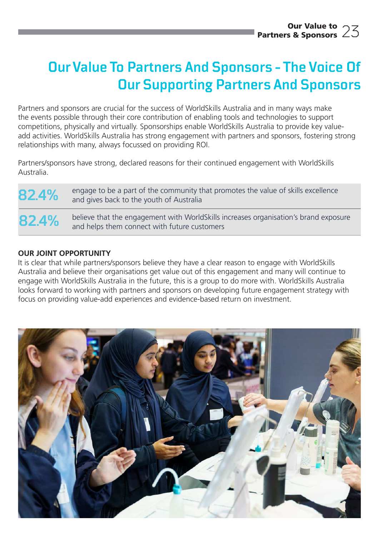### **Our Value To Partners And Sponsors - The Voice Of Our Supporting Partners And Sponsors**

Partners and sponsors are crucial for the success of WorldSkills Australia and in many ways make the events possible through their core contribution of enabling tools and technologies to support competitions, physically and virtually. Sponsorships enable WorldSkills Australia to provide key valueadd activities. WorldSkills Australia has strong engagement with partners and sponsors, fostering strong relationships with many, always focussed on providing ROI.

Partners/sponsors have strong, declared reasons for their continued engagement with WorldSkills Australia.

82.4% engage to be a part of the community that promotes the value of skills excellence and gives back to the youth of Australia

**82.4%** believe that the engagement with WorldSkills increases organisation's brand exposure and helps them connect with future customers

#### OUR JOINT OPPORTUNITY

It is clear that while partners/sponsors believe they have a clear reason to engage with WorldSkills Australia and believe their organisations get value out of this engagement and many will continue to engage with WorldSkills Australia in the future, this is a group to do more with. WorldSkills Australia looks forward to working with partners and sponsors on developing future engagement strategy with focus on providing value-add experiences and evidence-based return on investment.

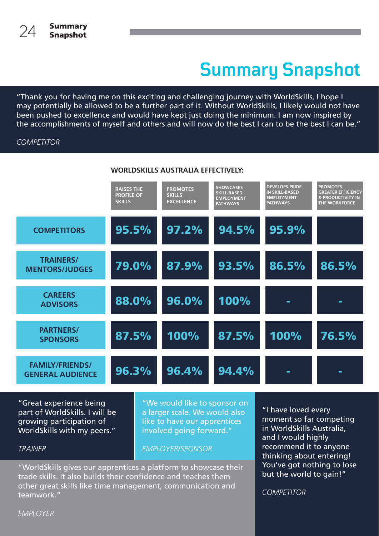# **Summary Snapshot**

"Thank you for having me on this exciting and challenging journey with WorldSkills, I hope I may potentially be allowed to be a further part of it. Without WorldSkills, I likely would not have been pushed to excellence and would have kept just doing the minimum. I am now inspired by the accomplishments of myself and others and will now do the best I can to be the best I can be."

#### **COMPETITOR**



#### WORLDSKILLS AUSTRALIA EFFECTIVELY:

"Great experience being part of WorldSkills. I will be growing participation of WorldSkills with my peers."

"We would like to sponsor on a larger scale. We would also like to have our apprentices involved going forward."

#### EMPLOYER/SPONSOR

"WorldSkills gives our apprentices a platform to showcase their trade skills. It also builds their confidence and teaches them other great skills like time management, communication and teamwork."

"I have loved every moment so far competing in WorldSkills Australia, and I would highly recommend it to anyone thinking about entering! You've got nothing to lose but the world to gain!"

**COMPETITOR** 

EMPLOYER

TRAINER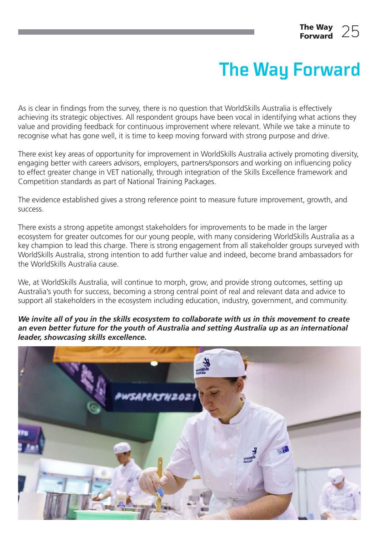# **The Way Forward**

As is clear in findings from the survey, there is no question that WorldSkills Australia is effectively achieving its strategic objectives. All respondent groups have been vocal in identifying what actions they value and providing feedback for continuous improvement where relevant. While we take a minute to recognise what has gone well, it is time to keep moving forward with strong purpose and drive.

There exist key areas of opportunity for improvement in WorldSkills Australia actively promoting diversity, engaging better with careers advisors, employers, partners/sponsors and working on influencing policy to effect greater change in VET nationally, through integration of the Skills Excellence framework and Competition standards as part of National Training Packages.

The evidence established gives a strong reference point to measure future improvement, growth, and success.

There exists a strong appetite amongst stakeholders for improvements to be made in the larger ecosystem for greater outcomes for our young people, with many considering WorldSkills Australia as a key champion to lead this charge. There is strong engagement from all stakeholder groups surveyed with WorldSkills Australia, strong intention to add further value and indeed, become brand ambassadors for the WorldSkills Australia cause.

We, at WorldSkills Australia, will continue to morph, grow, and provide strong outcomes, setting up Australia's youth for success, becoming a strong central point of real and relevant data and advice to support all stakeholders in the ecosystem including education, industry, government, and community.

#### We invite all of you in the skills ecosystem to collaborate with us in this movement to create an even better future for the youth of Australia and setting Australia up as an international leader, showcasing skills excellence.

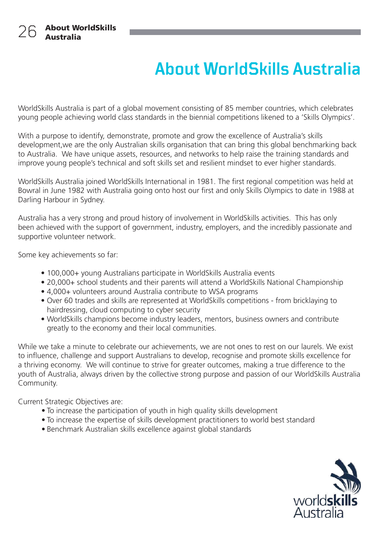### **About WorldSkills Australia**

WorldSkills Australia is part of a global movement consisting of 85 member countries, which celebrates young people achieving world class standards in the biennial competitions likened to a 'Skills Olympics'.

With a purpose to identify, demonstrate, promote and grow the excellence of Australia's skills development,we are the only Australian skills organisation that can bring this global benchmarking back to Australia. We have unique assets, resources, and networks to help raise the training standards and improve young people's technical and soft skills set and resilient mindset to ever higher standards.

WorldSkills Australia joined WorldSkills International in 1981. The first regional competition was held at Bowral in June 1982 with Australia going onto host our first and only Skills Olympics to date in 1988 at Darling Harbour in Sydney.

Australia has a very strong and proud history of involvement in WorldSkills activities. This has only been achieved with the support of government, industry, employers, and the incredibly passionate and supportive volunteer network.

Some key achievements so far:

- 100,000+ young Australians participate in WorldSkills Australia events
- 20,000+ school students and their parents will attend a WorldSkills National Championship
- 4,000+ volunteers around Australia contribute to WSA programs
- Over 60 trades and skills are represented at WorldSkills competitions from bricklaying to hairdressing, cloud computing to cyber security
- WorldSkills champions become industry leaders, mentors, business owners and contribute greatly to the economy and their local communities.

While we take a minute to celebrate our achievements, we are not ones to rest on our laurels. We exist to influence, challenge and support Australians to develop, recognise and promote skills excellence for a thriving economy. We will continue to strive for greater outcomes, making a true difference to the youth of Australia, always driven by the collective strong purpose and passion of our WorldSkills Australia Community.

Current Strategic Objectives are:

- To increase the participation of youth in high quality skills development
- To increase the expertise of skills development practitioners to world best standard
- Benchmark Australian skills excellence against global standards

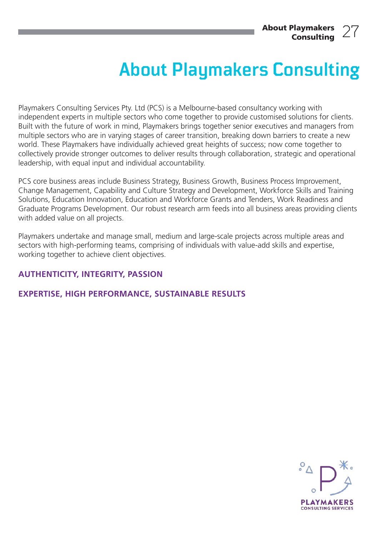### **About Playmakers Consulting**

Playmakers Consulting Services Pty. Ltd (PCS) is a Melbourne-based consultancy working with independent experts in multiple sectors who come together to provide customised solutions for clients. Built with the future of work in mind, Playmakers brings together senior executives and managers from multiple sectors who are in varying stages of career transition, breaking down barriers to create a new world. These Playmakers have individually achieved great heights of success; now come together to collectively provide stronger outcomes to deliver results through collaboration, strategic and operational leadership, with equal input and individual accountability.

PCS core business areas include Business Strategy, Business Growth, Business Process Improvement, Change Management, Capability and Culture Strategy and Development, Workforce Skills and Training Solutions, Education Innovation, Education and Workforce Grants and Tenders, Work Readiness and Graduate Programs Development. Our robust research arm feeds into all business areas providing clients with added value on all projects.

Playmakers undertake and manage small, medium and large-scale projects across multiple areas and sectors with high-performing teams, comprising of individuals with value-add skills and expertise, working together to achieve client objectives.

#### AUTHENTICITY, INTEGRITY, PASSION

#### EXPERTISE, HIGH PERFORMANCE, SUSTAINABLE RESULTS